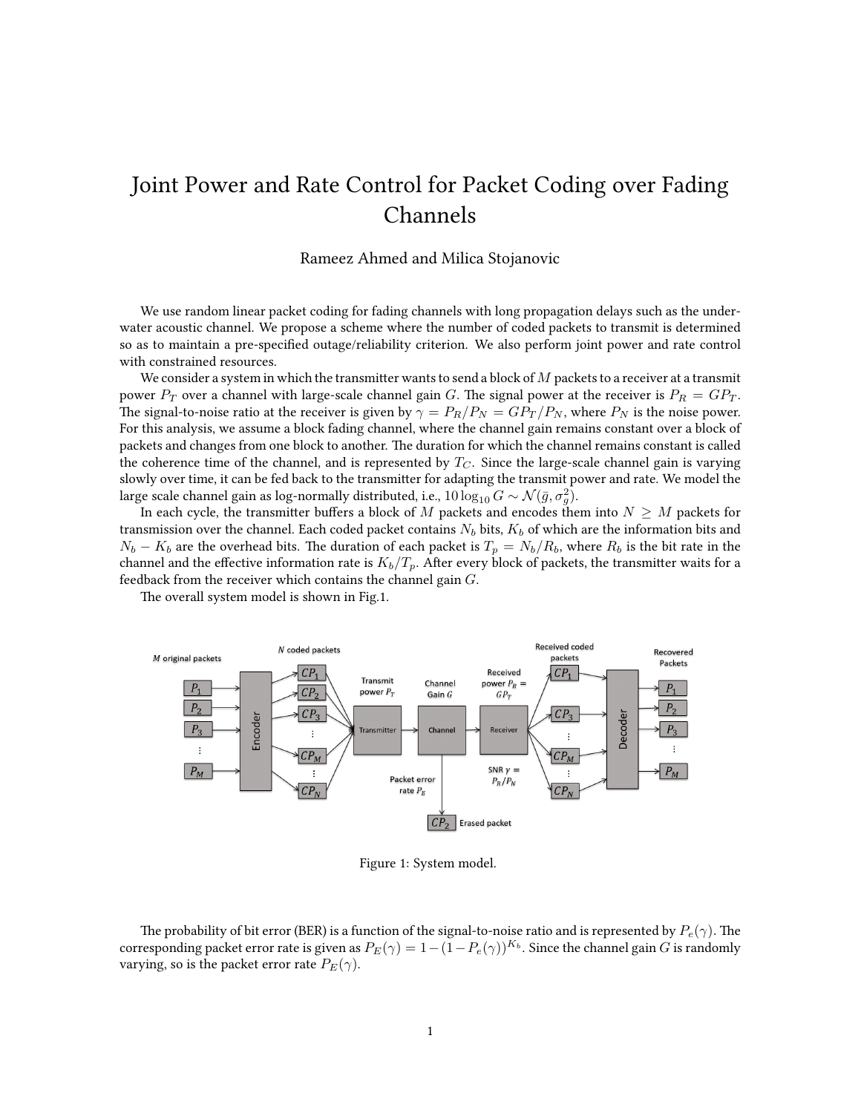## Joint Power and Rate Control for Packet Coding over Fading Channels

## Rameez Ahmed and Milica Stojanovic

We use random linear packet coding for fading channels with long propagation delays such as the underwater acoustic channel. We propose a scheme where the number of coded packets to transmit is determined so as to maintain a pre-specified outage/reliability criterion. We also perform joint power and rate control with constrained resources.

We consider a system in which the transmitter wants to send a block of  $M$  packets to a receiver at a transmit power  $P_T$  over a channel with large-scale channel gain G. The signal power at the receiver is  $P_R = GP_T$ . The signal-to-noise ratio at the receiver is given by  $\gamma = P_R/P_N = GP_T/P_N$ , where  $P_N$  is the noise power. For this analysis, we assume a block fading channel, where the channel gain remains constant over a block of packets and changes from one block to another. The duration for which the channel remains constant is called the coherence time of the channel, and is represented by  $T_C$ . Since the large-scale channel gain is varying slowly over time, it can be fed back to the transmitter for adapting the transmit power and rate. We model the large scale channel gain as log-normally distributed, i.e.,  $10\log_{10} G \sim \mathcal{N}(\bar{g}, \sigma_g^2).$ 

In each cycle, the transmitter buffers a block of M packets and encodes them into  $N \geq M$  packets for transmission over the channel. Each coded packet contains  $N_b$  bits,  $K_b$  of which are the information bits and  $N_b - K_b$  are the overhead bits. The duration of each packet is  $T_p = N_b/R_b$ , where  $R_b$  is the bit rate in the channel and the effective information rate is  $K_b/T_p$ . After every block of packets, the transmitter waits for a feedback from the receiver which contains the channel gain  $G$ .

The overall system model is shown in Fig.1.



Figure 1: System model.

The probability of bit error (BER) is a function of the signal-to-noise ratio and is represented by  $P_e(\gamma)$ . The corresponding packet error rate is given as  $P_E(\gamma)=1-(1-P_e(\gamma))^{K_b}.$  Since the channel gain  $G$  is randomly varying, so is the packet error rate  $P_E(\gamma)$ .